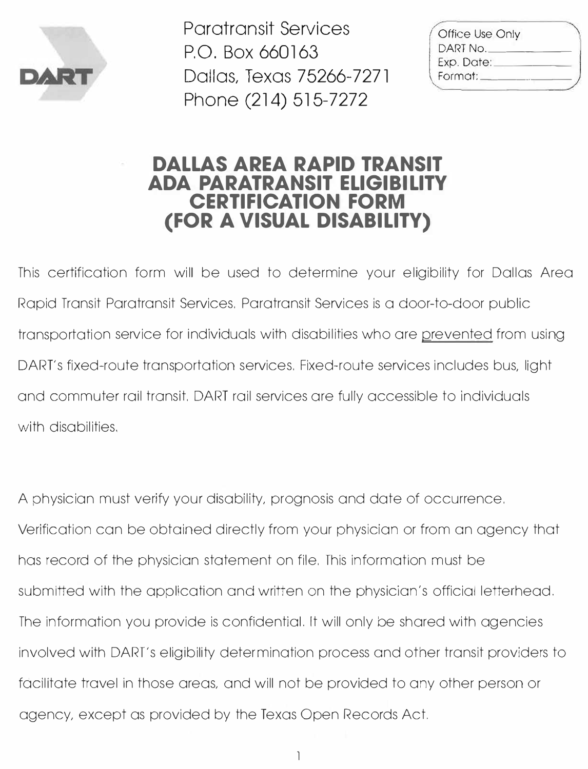

Paratransit Services P.O. Box 660163 Dallas, Texas 75266-7271 Phone (214) 515-7272

| Office Use Only |  |
|-----------------|--|
| DART No.        |  |
| Exp. Date:      |  |
| Format:         |  |
|                 |  |

#### **DALLAS AREA RAPID TRANSIT ADA PARATRANSIT ELIGIBILITY CERTIFICATION FORM (FOR A VISUAL DISABILITY)**

This certification form will be used to determine your eligibility for Dallas Area Rapid Transit Paratransit Services. Paratransit Services is a door-to-door public transportation service for individuals with disabilities who are prevented from using DART's fixed-route transportation services. Fixed-route services includes bus, light and commuter rail transit. DART rail services are fully accessible to individuals with disabilities.

A physician must verify your disability, prognosis and date of occurrence. Verification can be obtained directly from your physician or from an agency that has record of the physician statement on file. This information must be submitted with the application and written on the physician's official letterhead. The information you provide is confidential. It will only be shared with agencies involved with DART's eligibility determination process and other transit providers to facilitate travel in those areas, and will not be provided to any other person or agency, except as provided by the Texas Open Records Act.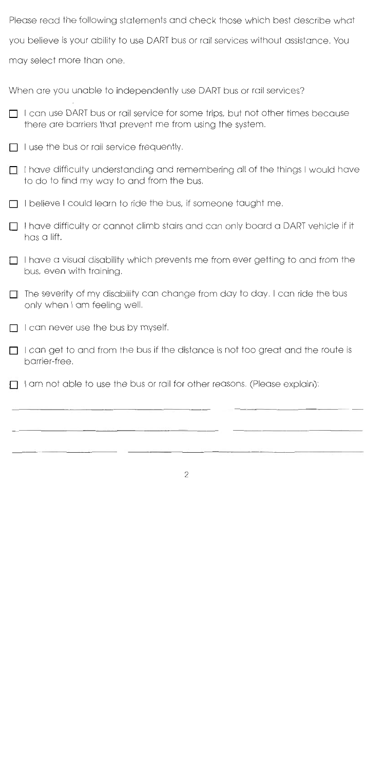Please read the following statements and check those which best describe what you believe is your ability to use DART bus or rail services without assistance. You may select more than one.

When are you unable to independently use DART bus or rail services?

- I can use DART bus or rail service for some trips, but not other times because  $\Box$ there are barriers that prevent me from using the system.
- I use the bus or rail service frequently, П
- $\Box$  I have difficulty understanding and remembering all of the things I would have to do to find my way to and from the bus.
- I believe I could learn to ride the bus, if someone taught me.
- $\Box$  I have difficulty or cannot climb stairs and can only board a DART vehicle if it has a lift.
- $\Pi$  I have a visual disability which prevents me from ever getting to and from the bus, even with training.
- The severity of my disability can change from day to day. I can ride the bus  $\mathbf{L}$ only when 1 am feeling well,
- $\Box$  I can never use the bus by myself.
- $\Box$  I can get to and from the bus if the distance is not too great and the route is barrier-free,
- I am not able to use the bus or rail for other reasons. (Please explain):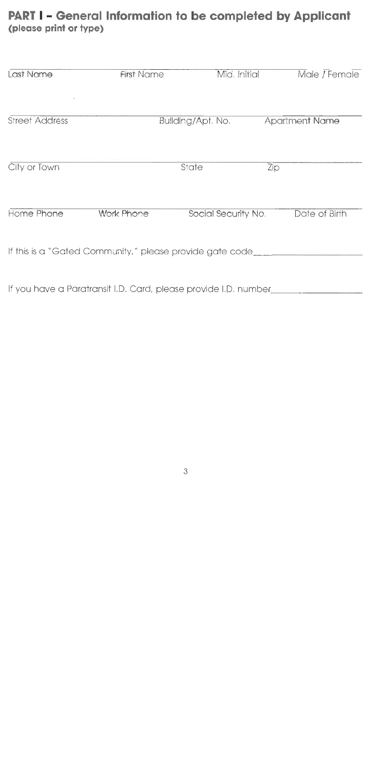### **PART I** - **General Information to be completed by Applicant (please print or type)**

| Last Name             | <b>First Name</b>                                               |                   | Mid. Initial        | Male / Female         |
|-----------------------|-----------------------------------------------------------------|-------------------|---------------------|-----------------------|
| <b>Street Address</b> |                                                                 | Building/Apt. No. |                     | <b>Apartment Name</b> |
| City or Town          |                                                                 | State             |                     | Zip                   |
| Home Phone            | <b>Work Phone</b>                                               |                   | Social Security No. | Date of Birth         |
|                       | If this is a "Gated Community," please provide gate code____    |                   |                     |                       |
|                       | If you have a Paratransit I.D. Card, please provide I.D. number |                   |                     |                       |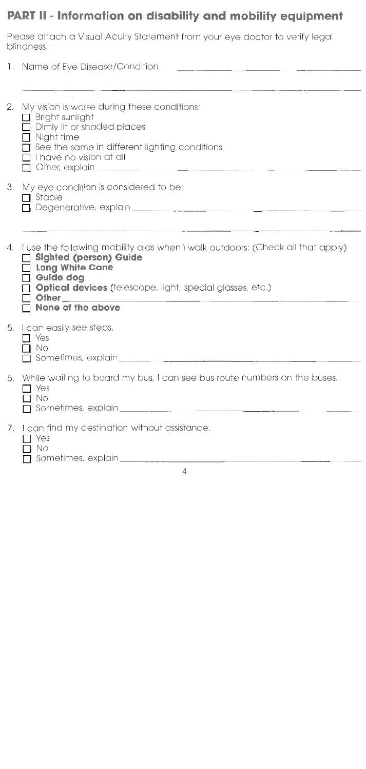## **PART II** - information **on disability and mobility equipment**

Please attach a Visual Acuity Statement from your eye doctor to verify legal blindness.

|    | 1. Name of Eye Disease/Condition________                                                                                                                                                                                                          |
|----|---------------------------------------------------------------------------------------------------------------------------------------------------------------------------------------------------------------------------------------------------|
|    |                                                                                                                                                                                                                                                   |
| 2. | My vision is worse during these conditions:<br>$\Box$ Bright sunlight<br>Dimly lit or shaded places<br>[ Night time<br>See the same in different lighting conditions<br>I have no vision at all                                                   |
| 3. | My eye condition is considered to be:<br>Stable                                                                                                                                                                                                   |
|    |                                                                                                                                                                                                                                                   |
| 4. | I use the following mobility aids when I walk outdoors: (Check all that apply)<br>Sighted (person) Guide<br><b>Long White Cane</b><br>Guide dog<br><b>Optical devices</b> (telescope, light, special glasses, etc.)<br>Other<br>None of the above |
|    | 5. I can easily see steps.<br>$\Box$ Yes<br>No<br>Sometimes, explain et al. and the state of the state of the state of the state of the state of the state of the                                                                                 |
| 6. | While waiting to board my bus, I can see bus route numbers on the buses.<br>Yes<br>No                                                                                                                                                             |
| 7. | I can find my destination without assistance.<br>Yes                                                                                                                                                                                              |

- 0 No
- Sometimes, explain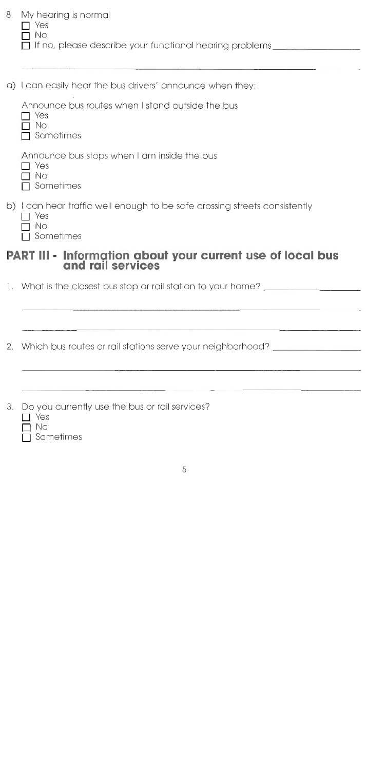| 8. | My hearing is normal<br>Yes<br>Νo<br>If no, please describe your functional hearing problems |
|----|----------------------------------------------------------------------------------------------|
|    | a) I can easily hear the bus drivers' announce when they:                                    |
|    | Announce bus routes when I stand outside the bus<br>Yes<br>No<br>$\sqcap$ Sometimes          |
|    | Announce bus stops when I am inside the bus                                                  |

- Announce bus stops when I am inside the bus
- 7 Yes T No
- **□** Sometimes
- b) I can hear traffic well enough to be safe crossing streets consistently
	- $\Box$  Yes
	- No
	- Sometimes

# **PART III - Information about your current use of local bus and rail services**

What is the closest bus stop or rail station to your home?

2. Which bus routes or rail stations serve your neighborhood?

- Do you currently use the bus or rail services?
	- $\Gamma$  Yes
	- u No
	- **Sometimes**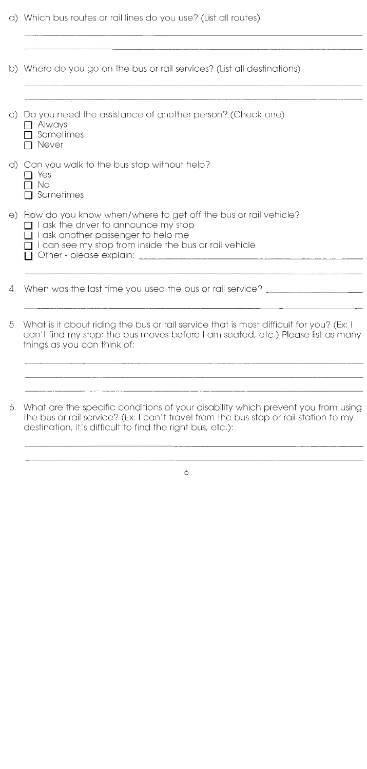- a) Which bus routes or rail lines do you use? (List all routes) b) Where do you go on the bus or rail services? (List all destinations) c) Do you need the assistance of another person? (Check one) Always  $\Box$  Sometimes **□** Never d) Can you walk to the bus stop without help? ∩ Yes  $\Box$  No  $\Box$  Sometimes e) How do you know when/where to get off the bus or rail vehicle?  $\Box$  I ask the driver to announce my stop  $\Box$  I ask another passenger to help me  $\Box$  I can see my stop from inside the bus or rail vehicle Other - please explain:
- 4. When was the last time you used the bus or rail service?
- 5, What is it about riding the bus or rail service that is most difficult for you? (Ex: I can't find my stop; the bus moves before I am seated, etc,) Please list as many things as you can think of:

6. What are the specific conditions of your disability which prevent you from using the bus or rail service? (Ex: I can't travel from the bus stop or rail station to my destination, it's difficult to find the right bus, etc.):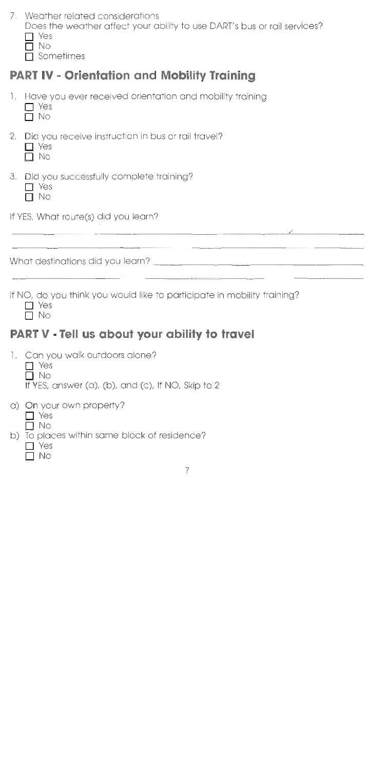*7,* Weather related considerations

Does the weather affect your ability to use DART'S bus or rail services? Yes

0 No

**Sometimes** 

## **PART IV - Orientation and Mobility Training**

1. Have you ever received orientation and mobility training

 $\Box$  Yes

 $\Box$  No

2, Did you receive instruction in bus or rail travel?

 $\Gamma$  Yes

 $\Box$  No

3. Did you successfully complete training?<br>  $\Box$  Yes

No

If YES, What route(s) did you learn?

What destinations did you learn?

If NO, do you think you would like to participate in mobility training?

<u> 1978 - Johann John B. Marie Barnett, amerikan p</u>

 $\Gamma$  Yes  $\Box$  No

## **PART V - Tell us about your ability to travel**

1, Can you walk outdoors alone?  $\Box$  Yes  $\Box$  No If YES, answer (a), (b), and (c), If NO, Skip to 2 a) On your own property?  $\Box$  Yes  $\Box$  No

b) To places within same block of residence?

 $\Box$  Yes

. No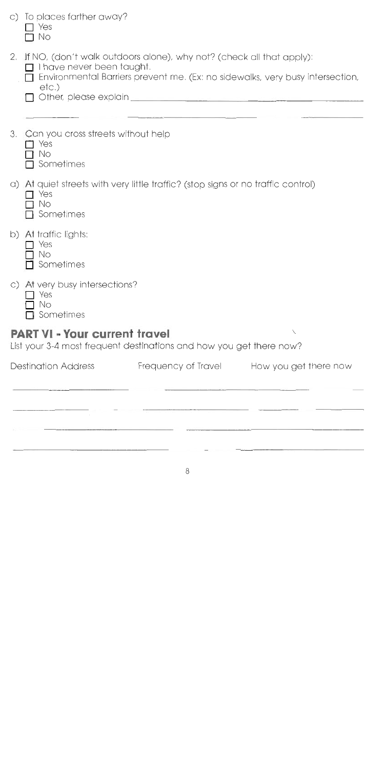|    | <b>Destination Address</b><br>Frequency of Travel<br>How you get there now                                                                                                                            |
|----|-------------------------------------------------------------------------------------------------------------------------------------------------------------------------------------------------------|
|    | <b>PART VI - Your current travel</b><br>Λ<br>List your 3-4 most frequent destinations and how you get there now?                                                                                      |
|    | c) At very busy intersections?<br>$\Box$ Yes<br>No<br>Sometimes                                                                                                                                       |
|    | b) At traffic lights:<br>Yes<br>No<br>Sometimes                                                                                                                                                       |
|    | a) At quiet streets with very little traffic? (stop signs or no traffic control)<br>Yes<br>No<br>Sometimes                                                                                            |
| 3. | Can you cross streets without help<br>Yes<br>No<br>Sometimes                                                                                                                                          |
|    | 2. If NO, (don't walk outdoors alone), why not? (check all that apply):<br>$\Box$ I have never been taught.<br>Environmental Barriers prevent me. (Ex: no sidewalks, very busy intersection,<br>etc.) |
|    | c) To places farther away?<br>Yes<br>No                                                                                                                                                               |